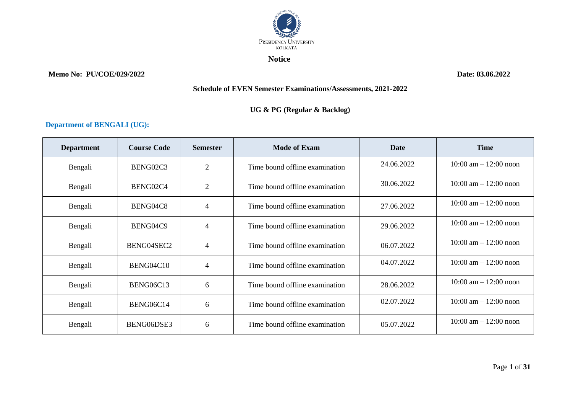

#### **Notice**

#### **Memo No: PU/COE/029/2022 Date: 03.06.2022**

#### **Schedule of EVEN Semester Examinations/Assessments, 2021-2022**

#### **UG & PG (Regular & Backlog)**

#### **Department of BENGALI (UG):**

| <b>Department</b> | <b>Course Code</b> | <b>Semester</b> | <b>Mode of Exam</b>            | <b>Date</b> | <b>Time</b>                             |
|-------------------|--------------------|-----------------|--------------------------------|-------------|-----------------------------------------|
| Bengali           | BENG02C3           | $\overline{2}$  | Time bound offline examination | 24.06.2022  | $10:00 \text{ am} - 12:00 \text{ noon}$ |
| Bengali           | BENG02C4           | $\overline{2}$  | Time bound offline examination | 30.06.2022  | $10:00 \text{ am} - 12:00 \text{ noon}$ |
| Bengali           | BENG04C8           | 4               | Time bound offline examination | 27.06.2022  | $10:00$ am $- 12:00$ noon               |
| Bengali           | BENG04C9           | 4               | Time bound offline examination | 29.06.2022  | $10:00$ am $- 12:00$ noon               |
| Bengali           | BENG04SEC2         | 4               | Time bound offline examination | 06.07.2022  | $10:00 \text{ am} - 12:00 \text{ noon}$ |
| Bengali           | BENG04C10          | 4               | Time bound offline examination | 04.07.2022  | $10:00$ am $- 12:00$ noon               |
| Bengali           | BENG06C13          | 6               | Time bound offline examination | 28.06.2022  | $10:00$ am $- 12:00$ noon               |
| Bengali           | BENG06C14          | 6               | Time bound offline examination | 02.07.2022  | $10:00 \text{ am} - 12:00 \text{ noon}$ |
| Bengali           | BENG06DSE3         | 6               | Time bound offline examination | 05.07.2022  | $10:00$ am $-12:00$ noon                |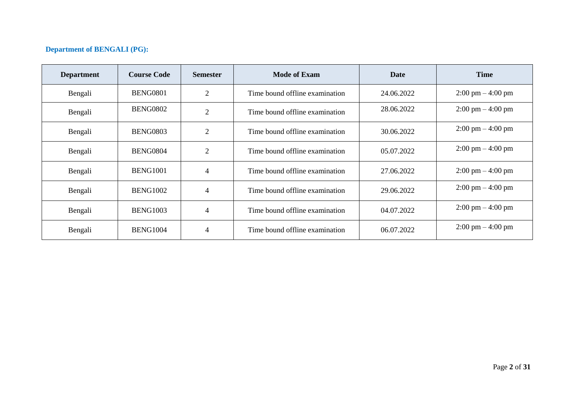# **Department of BENGALI (PG):**

| <b>Department</b> | <b>Course Code</b> | <b>Semester</b> | <b>Mode of Exam</b>                          | Date       | <b>Time</b>                         |
|-------------------|--------------------|-----------------|----------------------------------------------|------------|-------------------------------------|
| Bengali           | <b>BENG0801</b>    | $\overline{2}$  | Time bound offline examination               | 24.06.2022 | $2:00 \text{ pm} - 4:00 \text{ pm}$ |
| Bengali           | <b>BENG0802</b>    | $\overline{2}$  | Time bound offline examination               | 28.06.2022 | $2:00 \text{ pm} - 4:00 \text{ pm}$ |
| Bengali           | <b>BENG0803</b>    | $\overline{2}$  | Time bound offline examination               | 30.06.2022 | $2:00 \text{ pm} - 4:00 \text{ pm}$ |
| Bengali           | <b>BENG0804</b>    | $\overline{2}$  | Time bound offline examination               | 05.07.2022 | $2:00 \text{ pm} - 4:00 \text{ pm}$ |
| Bengali           | <b>BENG1001</b>    | $\overline{4}$  | Time bound offline examination               | 27.06.2022 | $2:00 \text{ pm} - 4:00 \text{ pm}$ |
| Bengali           | <b>BENG1002</b>    | 4               | Time bound offline examination               | 29.06.2022 | $2:00 \text{ pm} - 4:00 \text{ pm}$ |
| Bengali           | <b>BENG1003</b>    | $\overline{4}$  | Time bound offline examination               | 04.07.2022 | $2:00 \text{ pm} - 4:00 \text{ pm}$ |
| Bengali           | <b>BENG1004</b>    | 4               | Time bound offline examination<br>06.07.2022 |            | $2:00 \text{ pm} - 4:00 \text{ pm}$ |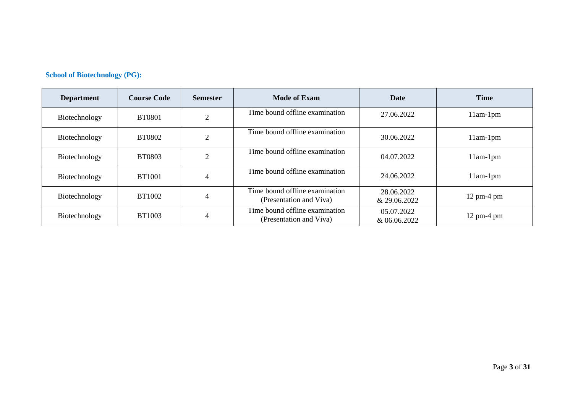| <b>Department</b> | <b>Course Code</b> | <b>Semester</b>          | <b>Mode of Exam</b>                                                                     | <b>Date</b>                | <b>Time</b>                  |
|-------------------|--------------------|--------------------------|-----------------------------------------------------------------------------------------|----------------------------|------------------------------|
| Biotechnology     | <b>BT0801</b>      |                          | Time bound offline examination                                                          | 27.06.2022                 | $11am-1pm$                   |
| Biotechnology     | <b>BT0802</b>      | $\overline{\mathcal{L}}$ | Time bound offline examination                                                          | 30.06.2022                 | $11am-1pm$                   |
| Biotechnology     | <b>BT0803</b>      | ◠                        | Time bound offline examination                                                          | 04.07.2022                 | $11am-1pm$                   |
| Biotechnology     | <b>BT1001</b>      | 4                        | Time bound offline examination                                                          | 24.06.2022                 | $11am-1pm$                   |
| Biotechnology     | <b>BT1002</b>      | 4                        | Time bound offline examination<br>28.06.2022<br>(Presentation and Viva)<br>& 29.06.2022 |                            | $12$ pm-4 pm                 |
| Biotechnology     | <b>BT1003</b>      | 4                        | Time bound offline examination<br>(Presentation and Viva)                               | 05.07.2022<br>& 06.06.2022 | $12 \text{ pm-}4 \text{ pm}$ |

### **School of Biotechnology (PG):**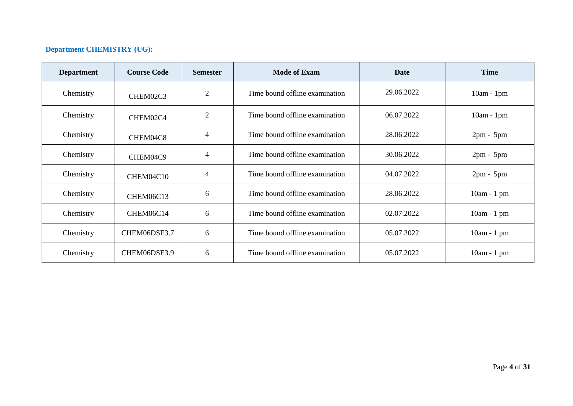## **Department CHEMISTRY (UG):**

| <b>Department</b> | <b>Course Code</b> | <b>Semester</b> | <b>Mode of Exam</b>                          | <b>Date</b> | <b>Time</b>  |
|-------------------|--------------------|-----------------|----------------------------------------------|-------------|--------------|
| Chemistry         | CHEM02C3           | $\overline{2}$  | Time bound offline examination               | 29.06.2022  | $10am - 1pm$ |
| Chemistry         | CHEM02C4           | $\mathfrak{2}$  | Time bound offline examination               | 06.07.2022  | $10am - 1pm$ |
| Chemistry         | CHEM04C8           | 4               | Time bound offline examination<br>28.06.2022 |             | $2pm - 5pm$  |
| Chemistry         | CHEM04C9           | 4               | Time bound offline examination               | 30.06.2022  | $2pm - 5pm$  |
| Chemistry         | CHEM04C10          | 4               | Time bound offline examination               | 04.07.2022  | $2pm - 5pm$  |
| Chemistry         | CHEM06C13          | 6               | Time bound offline examination               | 28.06.2022  | $10am - 1pm$ |
| Chemistry         | CHEM06C14          | 6               | Time bound offline examination               | 02.07.2022  | $10am - 1pm$ |
| Chemistry         | CHEM06DSE3.7       | 6               | Time bound offline examination               | 05.07.2022  | $10am - 1pm$ |
| Chemistry         | CHEM06DSE3.9       | 6               | Time bound offline examination               | 05.07.2022  | $10am - 1pm$ |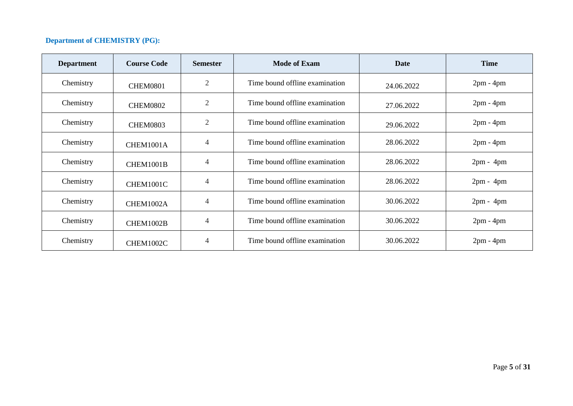# **Department of CHEMISTRY (PG):**

| <b>Department</b> | <b>Course Code</b> | <b>Semester</b> | <b>Mode of Exam</b>            | <b>Date</b> | <b>Time</b> |
|-------------------|--------------------|-----------------|--------------------------------|-------------|-------------|
| Chemistry         | <b>CHEM0801</b>    | $\overline{2}$  | Time bound offline examination | 24.06.2022  | $2pm - 4pm$ |
| Chemistry         | <b>CHEM0802</b>    | $\overline{2}$  | Time bound offline examination | 27.06.2022  | $2pm - 4pm$ |
| Chemistry         | <b>CHEM0803</b>    | $\mathfrak{2}$  | Time bound offline examination | 29.06.2022  | $2pm - 4pm$ |
| Chemistry         | CHEM1001A          | 4               | Time bound offline examination | 28.06.2022  | $2pm - 4pm$ |
| Chemistry         | CHEM1001B          | 4               | Time bound offline examination | 28.06.2022  | $2pm - 4pm$ |
| Chemistry         | CHEM1001C          | 4               | Time bound offline examination | 28.06.2022  | $2pm - 4pm$ |
| Chemistry         | CHEM1002A          | 4               | Time bound offline examination | 30.06.2022  | $2pm - 4pm$ |
| Chemistry         | CHEM1002B          | 4               | Time bound offline examination | 30.06.2022  | $2pm - 4pm$ |
| Chemistry         | CHEM1002C          | 4               | Time bound offline examination | 30.06.2022  | $2pm - 4pm$ |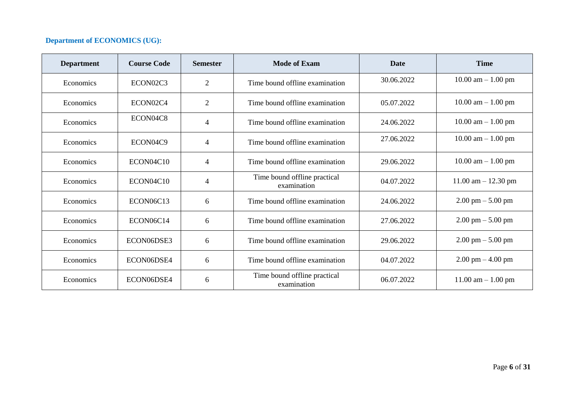# **Department of ECONOMICS (UG):**

| <b>Department</b> | <b>Course Code</b>                | <b>Semester</b> | <b>Mode of Exam</b>                         | Date       | <b>Time</b>                         |
|-------------------|-----------------------------------|-----------------|---------------------------------------------|------------|-------------------------------------|
| Economics         | ECON <sub>02</sub> C <sub>3</sub> | $\overline{2}$  | Time bound offline examination              | 30.06.2022 | $10.00$ am $-1.00$ pm               |
| Economics         | ECON02C4                          | $\mathbf{2}$    | Time bound offline examination              | 05.07.2022 | 10.00 am $- 1.00$ pm                |
| Economics         | ECON04C8                          | $\overline{4}$  | Time bound offline examination              | 24.06.2022 | $10.00$ am $-1.00$ pm               |
| Economics         | ECON04C9                          | $\overline{4}$  | Time bound offline examination              | 27.06.2022 | 10.00 am $- 1.00$ pm                |
| Economics         | ECON04C10                         | $\overline{4}$  | Time bound offline examination              | 29.06.2022 | $10.00$ am $- 1.00$ pm              |
| Economics         | ECON04C10                         | $\overline{4}$  | Time bound offline practical<br>examination | 04.07.2022 | $11.00$ am $- 12.30$ pm             |
| Economics         | ECON06C13                         | 6               | Time bound offline examination              | 24.06.2022 | $2.00 \text{ pm} - 5.00 \text{ pm}$ |
| Economics         | ECON06C14                         | 6               | Time bound offline examination              | 27.06.2022 | $2.00 \text{ pm} - 5.00 \text{ pm}$ |
| Economics         | ECON06DSE3                        | 6               | Time bound offline examination              | 29.06.2022 | $2.00 \text{ pm} - 5.00 \text{ pm}$ |
| Economics         | ECON06DSE4                        | 6               | Time bound offline examination              | 04.07.2022 | $2.00 \text{ pm} - 4.00 \text{ pm}$ |
| Economics         | ECON06DSE4                        | 6               | Time bound offline practical<br>examination | 06.07.2022 | $11.00$ am $- 1.00$ pm              |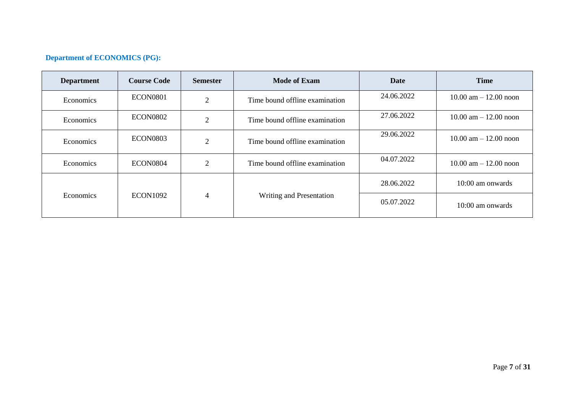#### **Department of ECONOMICS (PG):**

| <b>Department</b> | <b>Course Code</b>   | <b>Semester</b> | <b>Mode of Exam</b>            | <b>Date</b> | <b>Time</b>               |
|-------------------|----------------------|-----------------|--------------------------------|-------------|---------------------------|
| Economics         | <b>ECON0801</b>      | $\overline{2}$  | Time bound offline examination | 24.06.2022  | $10.00$ am $- 12.00$ noon |
| Economics         | ECON <sub>0802</sub> | $\overline{2}$  | Time bound offline examination | 27.06.2022  | $10.00$ am $- 12.00$ noon |
| Economics         | <b>ECON0803</b>      | $\mathcal{L}$   | Time bound offline examination | 29.06.2022  | $10.00$ am $- 12.00$ noon |
| Economics         | ECON <sub>0804</sub> | $\overline{2}$  | Time bound offline examination | 04.07.2022  | $10.00$ am $- 12.00$ noon |
|                   |                      |                 |                                | 28.06.2022  | 10:00 am onwards          |
| Economics         | <b>ECON1092</b>      | $\overline{4}$  | Writing and Presentation       | 05.07.2022  | 10:00 am onwards          |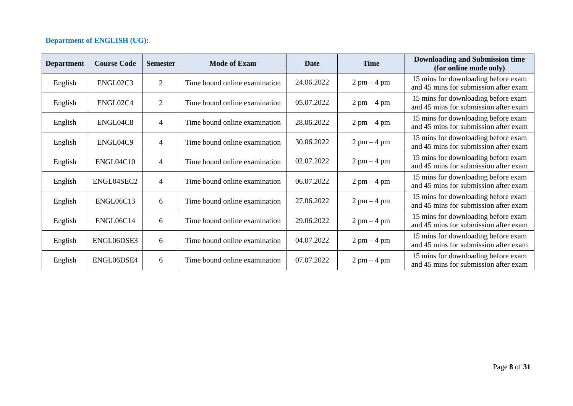## **Department of ENGLISH (UG):**

| <b>Department</b> | <b>Course Code</b> | <b>Semester</b> | <b>Mode of Exam</b>           | <b>Date</b> | <b>Time</b>                   | <b>Downloading and Submission time</b><br>(for online mode only)             |
|-------------------|--------------------|-----------------|-------------------------------|-------------|-------------------------------|------------------------------------------------------------------------------|
| English           | ENGL02C3           | $\overline{2}$  | Time bound online examination | 24.06.2022  | $2$ pm $-4$ pm                | 15 mins for downloading before exam<br>and 45 mins for submission after exam |
| English           | ENGL02C4           | $\overline{2}$  | Time bound online examination | 05.07.2022  | $2$ pm $-4$ pm                | 15 mins for downloading before exam<br>and 45 mins for submission after exam |
| English           | ENGL04C8           | $\overline{4}$  | Time bound online examination | 28.06.2022  | $2$ pm $-4$ pm                | 15 mins for downloading before exam<br>and 45 mins for submission after exam |
| English           | ENGL04C9           | 4               | Time bound online examination | 30.06.2022  | $2$ pm $-4$ pm                | 15 mins for downloading before exam<br>and 45 mins for submission after exam |
| English           | ENGL04C10          | 4               | Time bound online examination | 02.07.2022  | $2 \text{ pm} - 4 \text{ pm}$ | 15 mins for downloading before exam<br>and 45 mins for submission after exam |
| English           | ENGL04SEC2         | $\overline{4}$  | Time bound online examination | 06.07.2022  | $2$ pm $-4$ pm                | 15 mins for downloading before exam<br>and 45 mins for submission after exam |
| English           | ENGL06C13          | 6               | Time bound online examination | 27.06.2022  | $2$ pm $-4$ pm                | 15 mins for downloading before exam<br>and 45 mins for submission after exam |
| English           | ENGL06C14          | 6               | Time bound online examination | 29.06.2022  | $2$ pm $-4$ pm                | 15 mins for downloading before exam<br>and 45 mins for submission after exam |
| English           | ENGL06DSE3         | 6               | Time bound online examination | 04.07.2022  | $2$ pm $-4$ pm                | 15 mins for downloading before exam<br>and 45 mins for submission after exam |
| English           | ENGL06DSE4         | 6               | Time bound online examination | 07.07.2022  | $2 \text{ pm} - 4 \text{ pm}$ | 15 mins for downloading before exam<br>and 45 mins for submission after exam |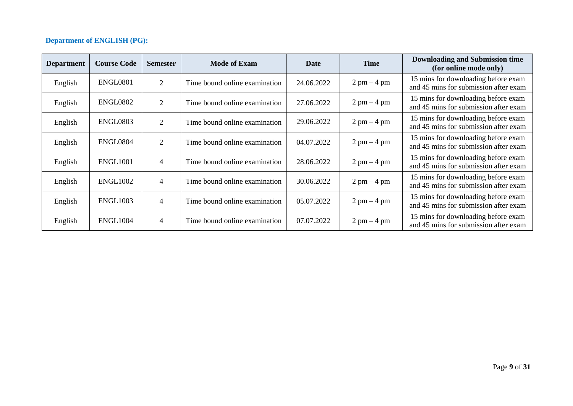## **Department of ENGLISH (PG):**

| <b>Department</b> | <b>Course Code</b>   | <b>Semester</b> | <b>Mode of Exam</b>           | Date       | <b>Time</b>    | <b>Downloading and Submission time</b><br>(for online mode only)             |
|-------------------|----------------------|-----------------|-------------------------------|------------|----------------|------------------------------------------------------------------------------|
| English           | <b>ENGL0801</b>      | $\overline{2}$  | Time bound online examination | 24.06.2022 | $2$ pm $-4$ pm | 15 mins for downloading before exam<br>and 45 mins for submission after exam |
| English           | <b>ENGL0802</b>      | 2               | Time bound online examination | 27.06.2022 | $2$ pm $-4$ pm | 15 mins for downloading before exam<br>and 45 mins for submission after exam |
| English           | <b>ENGL0803</b>      | 2               | Time bound online examination | 29.06.2022 | $2$ pm $-4$ pm | 15 mins for downloading before exam<br>and 45 mins for submission after exam |
| English           | ENGL0804             | $\overline{2}$  | Time bound online examination | 04.07.2022 | $2$ pm $-4$ pm | 15 mins for downloading before exam<br>and 45 mins for submission after exam |
| English           | ENGL <sub>1001</sub> | 4               | Time bound online examination | 28.06.2022 | $2$ pm $-4$ pm | 15 mins for downloading before exam<br>and 45 mins for submission after exam |
| English           | <b>ENGL1002</b>      | 4               | Time bound online examination | 30.06.2022 | $2$ pm $-4$ pm | 15 mins for downloading before exam<br>and 45 mins for submission after exam |
| English           | <b>ENGL1003</b>      | 4               | Time bound online examination | 05.07.2022 | $2$ pm $-4$ pm | 15 mins for downloading before exam<br>and 45 mins for submission after exam |
| English           | ENGL <sub>1004</sub> | $\overline{4}$  | Time bound online examination | 07.07.2022 | $2$ pm $-4$ pm | 15 mins for downloading before exam<br>and 45 mins for submission after exam |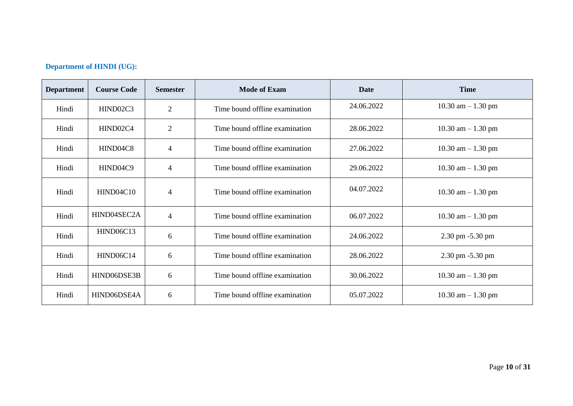#### **Department of HINDI (UG):**

| <b>Department</b> | <b>Course Code</b> | <b>Semester</b> | <b>Mode of Exam</b>            | Date       | <b>Time</b>            |
|-------------------|--------------------|-----------------|--------------------------------|------------|------------------------|
| Hindi             | HIND02C3           | $\mathbf{2}$    | Time bound offline examination | 24.06.2022 | 10.30 am $- 1.30$ pm   |
| Hindi             | HIND02C4           | $\overline{2}$  | Time bound offline examination | 28.06.2022 | 10.30 am $- 1.30$ pm   |
| Hindi             | HIND04C8           | $\overline{4}$  | Time bound offline examination | 27.06.2022 | $10.30$ am $- 1.30$ pm |
| Hindi             | HIND04C9           | $\overline{4}$  | Time bound offline examination | 29.06.2022 | $10.30$ am $- 1.30$ pm |
| Hindi             | HIND04C10          | $\overline{4}$  | Time bound offline examination | 04.07.2022 | $10.30$ am $- 1.30$ pm |
| Hindi             | HIND04SEC2A        | $\overline{4}$  | Time bound offline examination | 06.07.2022 | $10.30$ am $- 1.30$ pm |
| Hindi             | <b>HIND06C13</b>   | 6               | Time bound offline examination | 24.06.2022 | 2.30 pm -5.30 pm       |
| Hindi             | <b>HIND06C14</b>   | 6               | Time bound offline examination | 28.06.2022 | 2.30 pm -5.30 pm       |
| Hindi             | HIND06DSE3B        | 6               | Time bound offline examination | 30.06.2022 | $10.30$ am $- 1.30$ pm |
| Hindi             | HIND06DSE4A        | 6               | Time bound offline examination | 05.07.2022 | 10.30 am $- 1.30$ pm   |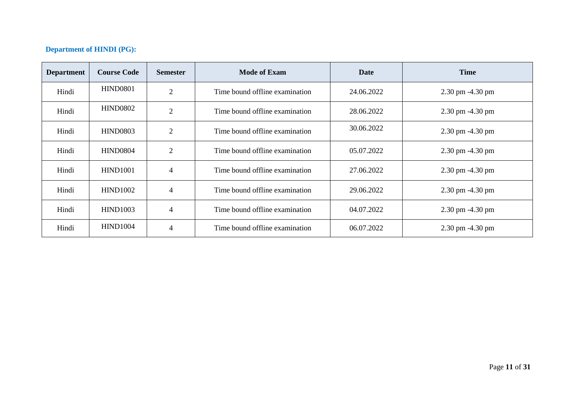# **Department of HINDI (PG):**

| <b>Department</b> | <b>Course Code</b> | <b>Semester</b> | <b>Mode of Exam</b>            | Date       | <b>Time</b>                         |
|-------------------|--------------------|-----------------|--------------------------------|------------|-------------------------------------|
| Hindi             | <b>HIND0801</b>    | 2               | Time bound offline examination | 24.06.2022 | 2.30 pm -4.30 pm                    |
| Hindi             | <b>HIND0802</b>    | $\overline{2}$  | Time bound offline examination | 28.06.2022 | $2.30$ pm $-4.30$ pm                |
| Hindi             | <b>HIND0803</b>    | $\overline{2}$  | Time bound offline examination | 30.06.2022 | 2.30 pm -4.30 pm                    |
| Hindi             | <b>HIND0804</b>    | 2               | Time bound offline examination | 05.07.2022 | 2.30 pm -4.30 pm                    |
| Hindi             | <b>HIND1001</b>    | 4               | Time bound offline examination | 27.06.2022 | 2.30 pm -4.30 pm                    |
| Hindi             | <b>HIND1002</b>    | 4               | Time bound offline examination | 29.06.2022 | $2.30 \text{ pm} - 4.30 \text{ pm}$ |
| Hindi             | <b>HIND1003</b>    | 4               | Time bound offline examination | 04.07.2022 | 2.30 pm -4.30 pm                    |
| Hindi             | <b>HIND1004</b>    | $\overline{4}$  | Time bound offline examination | 06.07.2022 | $2.30 \text{ pm} - 4.30 \text{ pm}$ |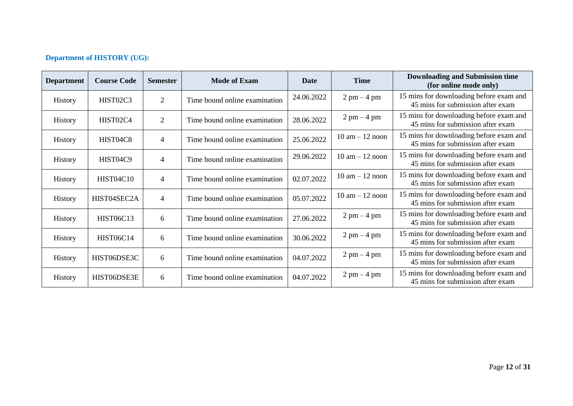# **Department of HISTORY (UG):**

| <b>Department</b> | <b>Course Code</b> | <b>Semester</b> | <b>Mode of Exam</b>           | <b>Date</b> | <b>Time</b>                       | <b>Downloading and Submission time</b><br>(for online mode only)             |
|-------------------|--------------------|-----------------|-------------------------------|-------------|-----------------------------------|------------------------------------------------------------------------------|
| History           | HIST02C3           | 2               | Time bound online examination | 24.06.2022  | $2$ pm $-4$ pm                    | 15 mins for downloading before exam and<br>45 mins for submission after exam |
| <b>History</b>    | HIST02C4           | $\overline{2}$  | Time bound online examination | 28.06.2022  | $2$ pm $-4$ pm                    | 15 mins for downloading before exam and<br>45 mins for submission after exam |
| <b>History</b>    | HIST04C8           | 4               | Time bound online examination | 25.06.2022  | $10$ am $-12$ noon                | 15 mins for downloading before exam and<br>45 mins for submission after exam |
| History           | HIST04C9           | 4               | Time bound online examination | 29.06.2022  | $10$ am $-12$ noon                | 15 mins for downloading before exam and<br>45 mins for submission after exam |
| History           | HIST04C10          | $\overline{4}$  | Time bound online examination | 02.07.2022  | $10 \text{ am} - 12 \text{ noon}$ | 15 mins for downloading before exam and<br>45 mins for submission after exam |
| History           | HIST04SEC2A        | 4               | Time bound online examination | 05.07.2022  | $10$ am $-12$ noon                | 15 mins for downloading before exam and<br>45 mins for submission after exam |
| History           | <b>HIST06C13</b>   | 6               | Time bound online examination | 27.06.2022  | $2 \text{ pm} - 4 \text{ pm}$     | 15 mins for downloading before exam and<br>45 mins for submission after exam |
| <b>History</b>    | <b>HIST06C14</b>   | 6               | Time bound online examination | 30.06.2022  | $2$ pm $-4$ pm                    | 15 mins for downloading before exam and<br>45 mins for submission after exam |
| <b>History</b>    | HIST06DSE3C        | 6               | Time bound online examination | 04.07.2022  | $2$ pm $-4$ pm                    | 15 mins for downloading before exam and<br>45 mins for submission after exam |
| <b>History</b>    | HIST06DSE3E        | 6               | Time bound online examination | 04.07.2022  | $2$ pm $-4$ pm                    | 15 mins for downloading before exam and<br>45 mins for submission after exam |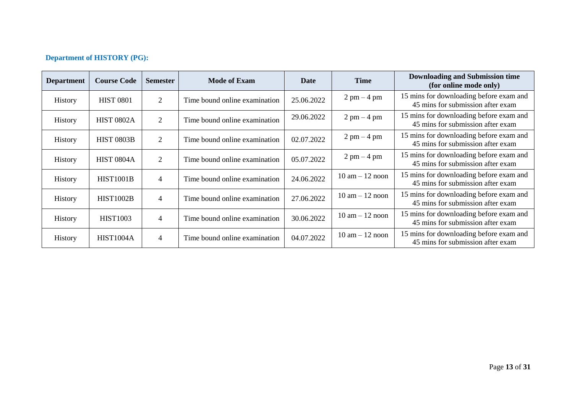# **Department of HISTORY (PG):**

| <b>Department</b> | <b>Course Code</b> | <b>Semester</b> | Mode of Exam                  | Date       | <b>Time</b>                       | <b>Downloading and Submission time</b><br>(for online mode only)             |
|-------------------|--------------------|-----------------|-------------------------------|------------|-----------------------------------|------------------------------------------------------------------------------|
| <b>History</b>    | <b>HIST 0801</b>   | 2               | Time bound online examination | 25.06.2022 | $2$ pm $-4$ pm                    | 15 mins for downloading before exam and<br>45 mins for submission after exam |
| History           | <b>HIST 0802A</b>  | 2               | Time bound online examination | 29.06.2022 | $2$ pm $-4$ pm                    | 15 mins for downloading before exam and<br>45 mins for submission after exam |
| <b>History</b>    | <b>HIST 0803B</b>  | 2               | Time bound online examination | 02.07.2022 | $2$ pm $-4$ pm                    | 15 mins for downloading before exam and<br>45 mins for submission after exam |
| <b>History</b>    | <b>HIST 0804A</b>  | 2               | Time bound online examination | 05.07.2022 | $2$ pm $-4$ pm                    | 15 mins for downloading before exam and<br>45 mins for submission after exam |
| History           | <b>HIST1001B</b>   | 4               | Time bound online examination | 24.06.2022 | $10 \text{ am} - 12 \text{ noon}$ | 15 mins for downloading before exam and<br>45 mins for submission after exam |
| History           | <b>HIST1002B</b>   | 4               | Time bound online examination | 27.06.2022 | $10 \text{ am} - 12 \text{ noon}$ | 15 mins for downloading before exam and<br>45 mins for submission after exam |
| <b>History</b>    | <b>HIST1003</b>    | 4               | Time bound online examination | 30.06.2022 | $10 \text{ am} - 12 \text{ noon}$ | 15 mins for downloading before exam and<br>45 mins for submission after exam |
| <b>History</b>    | <b>HIST1004A</b>   | $\overline{4}$  | Time bound online examination | 04.07.2022 | $10 \text{ am} - 12 \text{ noon}$ | 15 mins for downloading before exam and<br>45 mins for submission after exam |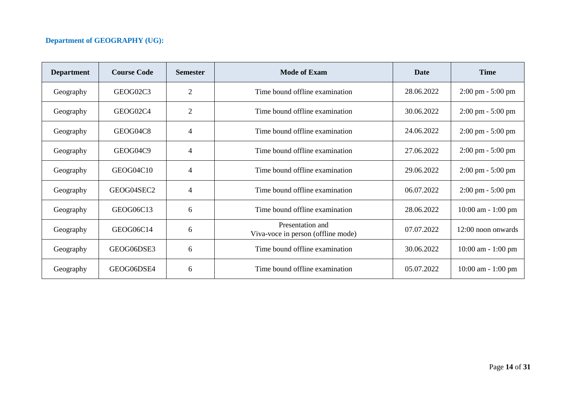### **Department of GEOGRAPHY (UG):**

| <b>Department</b> | <b>Course Code</b> | <b>Semester</b> | <b>Mode of Exam</b>                                    | <b>Date</b> | <b>Time</b>                         |
|-------------------|--------------------|-----------------|--------------------------------------------------------|-------------|-------------------------------------|
| Geography         | GEOG02C3           | $\overline{2}$  | Time bound offline examination                         | 28.06.2022  | $2:00 \text{ pm} - 5:00 \text{ pm}$ |
| Geography         | GEOG02C4           | $\overline{2}$  | Time bound offline examination                         | 30.06.2022  | $2:00 \text{ pm} - 5:00 \text{ pm}$ |
| Geography         | GEOG04C8           | 4               | Time bound offline examination                         | 24.06.2022  | $2:00 \text{ pm} - 5:00 \text{ pm}$ |
| Geography         | GEOG04C9           | 4               | Time bound offline examination                         | 27.06.2022  | $2:00 \text{ pm} - 5:00 \text{ pm}$ |
| Geography         | GEOG04C10          | 4               | Time bound offline examination                         | 29.06.2022  | $2:00 \text{ pm} - 5:00 \text{ pm}$ |
| Geography         | GEOG04SEC2         | 4               | Time bound offline examination                         | 06.07.2022  | $2:00 \text{ pm} - 5:00 \text{ pm}$ |
| Geography         | GEOG06C13          | 6               | Time bound offline examination                         | 28.06.2022  | 10:00 am - 1:00 pm                  |
| Geography         | GEOG06C14          | 6               | Presentation and<br>Viva-voce in person (offline mode) | 07.07.2022  | 12:00 noon onwards                  |
| Geography         | GEOG06DSE3         | 6               | Time bound offline examination                         | 30.06.2022  | 10:00 am - 1:00 pm                  |
| Geography         | GEOG06DSE4         | 6               | Time bound offline examination                         | 05.07.2022  | $10:00$ am $-1:00$ pm               |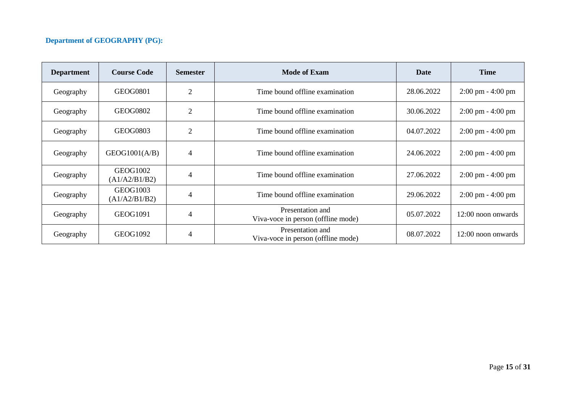### **Department of GEOGRAPHY (PG):**

| <b>Department</b> | <b>Course Code</b>               | <b>Semester</b> | <b>Mode of Exam</b>                                    | Date       | <b>Time</b>                         |
|-------------------|----------------------------------|-----------------|--------------------------------------------------------|------------|-------------------------------------|
| Geography         | GEOG0801                         | $\overline{2}$  | Time bound offline examination                         | 28.06.2022 | $2:00 \text{ pm} - 4:00 \text{ pm}$ |
| Geography         | GEOG0802                         | $\overline{2}$  | Time bound offline examination                         | 30.06.2022 | $2:00 \text{ pm} - 4:00 \text{ pm}$ |
| Geography         | GEOG0803                         | $\overline{2}$  | Time bound offline examination                         | 04.07.2022 | $2:00 \text{ pm} - 4:00 \text{ pm}$ |
| Geography         | GEOG1001(A/B)                    | 4               | Time bound offline examination                         | 24.06.2022 | $2:00 \text{ pm} - 4:00 \text{ pm}$ |
| Geography         | <b>GEOG1002</b><br>(A1/A2/B1/B2) | $\overline{4}$  | Time bound offline examination                         | 27.06.2022 | $2:00 \text{ pm} - 4:00 \text{ pm}$ |
| Geography         | GEOG1003<br>(A1/A2/B1/B2)        | 4               | Time bound offline examination                         | 29.06.2022 | $2:00 \text{ pm} - 4:00 \text{ pm}$ |
| Geography         | <b>GEOG1091</b>                  | 4               | Presentation and<br>Viva-voce in person (offline mode) | 05.07.2022 | 12:00 noon onwards                  |
| Geography         | GEOG1092                         | 4               | Presentation and<br>Viva-voce in person (offline mode) | 08.07.2022 | $12:00$ noon onwards                |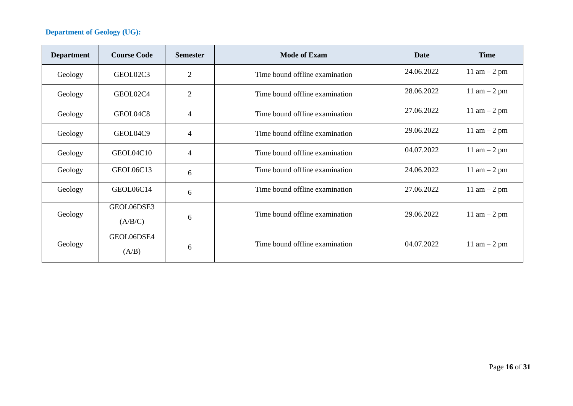#### **Department of Geology (UG):**

| <b>Department</b> | <b>Course Code</b> | <b>Semester</b>          | <b>Mode of Exam</b>            | Date       | <b>Time</b>   |
|-------------------|--------------------|--------------------------|--------------------------------|------------|---------------|
| Geology           | GEOL02C3           | $\overline{2}$           | Time bound offline examination | 24.06.2022 | 11 am $-2$ pm |
| Geology           | GEOL02C4           | $\overline{2}$           | Time bound offline examination | 28.06.2022 | 11 am $-2$ pm |
| Geology           | GEOL04C8           | 4                        | Time bound offline examination | 27.06.2022 | 11 am $-2$ pm |
| Geology           | GEOL04C9           | 4                        | Time bound offline examination | 29.06.2022 | 11 am $-2$ pm |
| Geology           | GEOL04C10          | $\overline{\mathcal{A}}$ | Time bound offline examination | 04.07.2022 | 11 am $-2$ pm |
| Geology           | GEOL06C13          | 6                        | Time bound offline examination | 24.06.2022 | 11 am $-2$ pm |
| Geology           | GEOL06C14          | 6                        | Time bound offline examination | 27.06.2022 | 11 am $-2$ pm |
| Geology           | GEOL06DSE3         | 6                        | Time bound offline examination | 29.06.2022 | 11 am $-2$ pm |
|                   | (A/B/C)            |                          |                                |            |               |
| Geology           | GEOL06DSE4         |                          | Time bound offline examination | 04.07.2022 | 11 am $-2$ pm |
|                   | (A/B)              | 6                        |                                |            |               |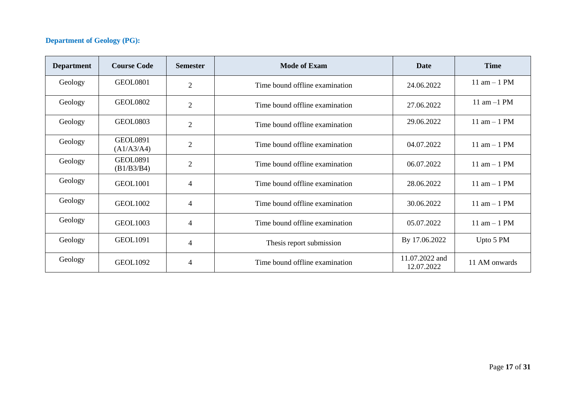## **Department of Geology (PG):**

| <b>Department</b> | <b>Course Code</b>            | <b>Semester</b> | <b>Mode of Exam</b>            | <b>Date</b>                  | <b>Time</b>   |
|-------------------|-------------------------------|-----------------|--------------------------------|------------------------------|---------------|
| Geology           | <b>GEOL0801</b>               | $\overline{2}$  | Time bound offline examination | 24.06.2022                   | 11 am $-1$ PM |
| Geology           | <b>GEOL0802</b>               | $\overline{2}$  | Time bound offline examination | 27.06.2022                   | 11 am $-1$ PM |
| Geology           | <b>GEOL0803</b>               | $\overline{2}$  | Time bound offline examination | 29.06.2022                   | 11 am $-1$ PM |
| Geology           | <b>GEOL0891</b><br>(A1/A3/A4) | $\overline{2}$  | Time bound offline examination | 04.07.2022                   | 11 am $-1$ PM |
| Geology           | <b>GEOL0891</b><br>(B1/B3/B4) | $\overline{2}$  | Time bound offline examination | 06.07.2022                   | 11 am $-1$ PM |
| Geology           | <b>GEOL1001</b>               | 4               | Time bound offline examination | 28.06.2022                   | 11 am $-1$ PM |
| Geology           | <b>GEOL1002</b>               | 4               | Time bound offline examination | 30.06.2022                   | 11 am $-1$ PM |
| Geology           | <b>GEOL1003</b>               | 4               | Time bound offline examination | 05.07.2022                   | 11 am $-1$ PM |
| Geology           | <b>GEOL1091</b>               | $\overline{4}$  | Thesis report submission       | By 17.06.2022                | Upto 5 PM     |
| Geology           | <b>GEOL1092</b>               | $\overline{4}$  | Time bound offline examination | 11.07.2022 and<br>12.07.2022 | 11 AM onwards |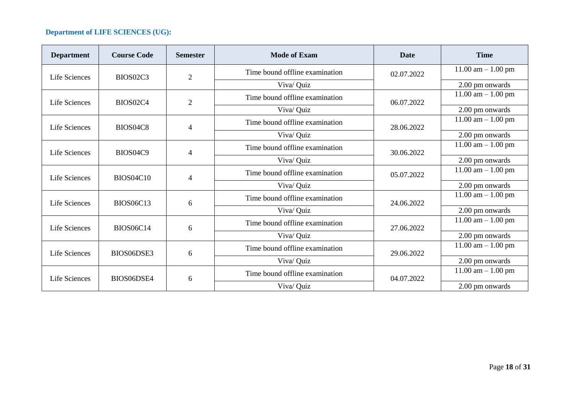#### **Department of LIFE SCIENCES (UG):**

| <b>Department</b> | <b>Course Code</b> | <b>Semester</b> | <b>Mode of Exam</b>            | Date       | <b>Time</b>            |
|-------------------|--------------------|-----------------|--------------------------------|------------|------------------------|
| Life Sciences     | BIOS02C3           | $\overline{2}$  | Time bound offline examination | 02.07.2022 | $11.00$ am $- 1.00$ pm |
|                   |                    |                 | Viva/ Quiz                     |            | 2.00 pm onwards        |
| Life Sciences     | BIOS02C4           | $\overline{2}$  | Time bound offline examination | 06.07.2022 | 11.00 $am - 1.00 pm$   |
|                   |                    |                 | Viva/ Quiz                     |            | 2.00 pm onwards        |
| Life Sciences     | BIOS04C8           | $\overline{4}$  | Time bound offline examination | 28.06.2022 | $11.00$ am $- 1.00$ pm |
|                   |                    |                 | Viva/ Quiz                     |            | 2.00 pm onwards        |
| Life Sciences     | BIOS04C9           | 4               | Time bound offline examination | 30.06.2022 | $11.00$ am $- 1.00$ pm |
|                   |                    |                 | Viva/ Quiz                     |            | 2.00 pm onwards        |
| Life Sciences     | <b>BIOS04C10</b>   | $\overline{4}$  | Time bound offline examination | 05.07.2022 | 11.00 $am - 1.00 pm$   |
|                   |                    |                 | Viva/ Quiz                     |            | 2.00 pm onwards        |
| Life Sciences     | <b>BIOS06C13</b>   | 6               | Time bound offline examination | 24.06.2022 | $11.00$ am $- 1.00$ pm |
|                   |                    |                 | Viva/ Quiz                     |            | 2.00 pm onwards        |
| Life Sciences     | <b>BIOS06C14</b>   | 6               | Time bound offline examination | 27.06.2022 | $11.00$ am $- 1.00$ pm |
|                   |                    |                 | Viva/ Quiz                     |            | 2.00 pm onwards        |
| Life Sciences     | BIOS06DSE3         | 6               | Time bound offline examination | 29.06.2022 | $11.00$ am $- 1.00$ pm |
|                   |                    |                 | Viva/ Quiz                     |            | 2.00 pm onwards        |
| Life Sciences     | BIOS06DSE4         | 6               | Time bound offline examination | 04.07.2022 | $11.00$ am $- 1.00$ pm |
|                   |                    |                 | Viva/ Quiz                     |            | 2.00 pm onwards        |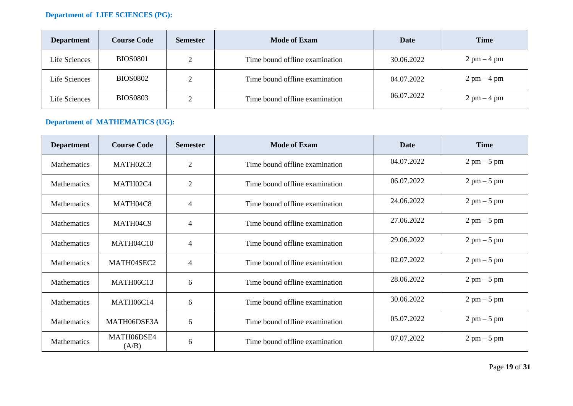# **Department of LIFE SCIENCES (PG):**

| <b>Department</b> | <b>Course Code</b> | <b>Semester</b> | <b>Mode of Exam</b>            | Date       | <b>Time</b>                   |
|-------------------|--------------------|-----------------|--------------------------------|------------|-------------------------------|
| Life Sciences     | <b>BIOS0801</b>    | $\bigcap$       | Time bound offline examination | 30.06.2022 | $2$ pm $-4$ pm                |
| Life Sciences     | <b>BIOS0802</b>    | ↑               | Time bound offline examination | 04.07.2022 | $2 \text{ pm} - 4 \text{ pm}$ |
| Life Sciences     | <b>BIOS0803</b>    | ◠               | Time bound offline examination | 06.07.2022 | $2$ pm $-4$ pm                |

### **Department of MATHEMATICS (UG):**

| <b>Department</b>  | <b>Course Code</b>  | <b>Semester</b> | <b>Mode of Exam</b>            | Date       | <b>Time</b>                   |
|--------------------|---------------------|-----------------|--------------------------------|------------|-------------------------------|
| Mathematics        | MATH02C3            | 2               | Time bound offline examination | 04.07.2022 | $2 \text{ pm} - 5 \text{ pm}$ |
| <b>Mathematics</b> | MATH02C4            | 2               | Time bound offline examination | 06.07.2022 | $2 \text{ pm} - 5 \text{ pm}$ |
| Mathematics        | MATH04C8            | $\overline{4}$  | Time bound offline examination | 24.06.2022 | $2 \text{ pm} - 5 \text{ pm}$ |
| <b>Mathematics</b> | MATH04C9            | 4               | Time bound offline examination | 27.06.2022 | $2 \text{ pm} - 5 \text{ pm}$ |
| <b>Mathematics</b> | MATH04C10           | 4               | Time bound offline examination | 29.06.2022 | $2 \text{ pm} - 5 \text{ pm}$ |
| Mathematics        | MATH04SEC2          | 4               | Time bound offline examination | 02.07.2022 | $2 \text{ pm} - 5 \text{ pm}$ |
| Mathematics        | <b>MATH06C13</b>    | 6               | Time bound offline examination | 28.06.2022 | $2 \text{ pm} - 5 \text{ pm}$ |
| <b>Mathematics</b> | <b>MATH06C14</b>    | 6               | Time bound offline examination | 30.06.2022 | $2 \text{ pm} - 5 \text{ pm}$ |
| Mathematics        | MATH06DSE3A         | 6               | Time bound offline examination | 05.07.2022 | $2 \text{ pm} - 5 \text{ pm}$ |
| <b>Mathematics</b> | MATH06DSE4<br>(A/B) | 6               | Time bound offline examination | 07.07.2022 | $2 \text{ pm} - 5 \text{ pm}$ |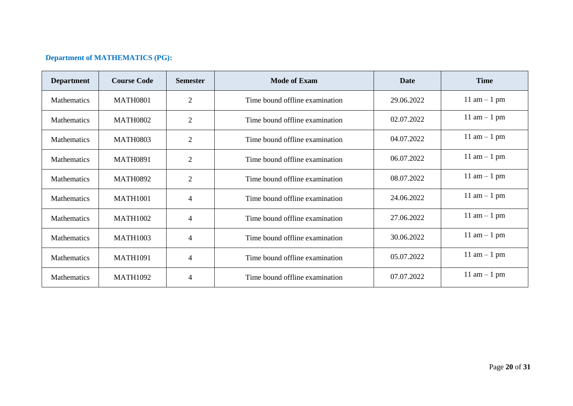#### **Department of MATHEMATICS (PG):**

| <b>Department</b>  | <b>Course Code</b> | <b>Semester</b> | <b>Mode of Exam</b>            | Date       | <b>Time</b>   |
|--------------------|--------------------|-----------------|--------------------------------|------------|---------------|
| Mathematics        | <b>MATH0801</b>    | $\overline{2}$  | Time bound offline examination | 29.06.2022 | 11 am $-1$ pm |
| Mathematics        | <b>MATH0802</b>    | $\overline{2}$  | Time bound offline examination | 02.07.2022 | 11 am $-1$ pm |
| Mathematics        | <b>MATH0803</b>    | $\overline{2}$  | Time bound offline examination | 04.07.2022 | 11 am $-1$ pm |
| Mathematics        | <b>MATH0891</b>    | $\overline{2}$  | Time bound offline examination | 06.07.2022 | 11 am $-1$ pm |
| Mathematics        | <b>MATH0892</b>    | $\overline{2}$  | Time bound offline examination | 08.07.2022 | 11 am $-1$ pm |
| <b>Mathematics</b> | <b>MATH1001</b>    | 4               | Time bound offline examination | 24.06.2022 | 11 am $-1$ pm |
| Mathematics        | <b>MATH1002</b>    | 4               | Time bound offline examination | 27.06.2022 | 11 am $-1$ pm |
| Mathematics        | <b>MATH1003</b>    | 4               | Time bound offline examination | 30.06.2022 | 11 am $-1$ pm |
| Mathematics        | <b>MATH1091</b>    | 4               | Time bound offline examination | 05.07.2022 | 11 am $-1$ pm |
| <b>Mathematics</b> | <b>MATH1092</b>    | 4               | Time bound offline examination | 07.07.2022 | 11 am $-1$ pm |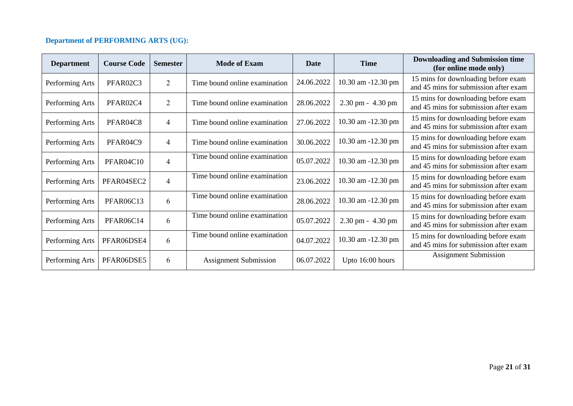# **Department of PERFORMING ARTS (UG):**

| <b>Department</b> | <b>Course Code</b> | <b>Semester</b> | <b>Mode of Exam</b>           | Date       | <b>Time</b>        | <b>Downloading and Submission time</b><br>(for online mode only)             |
|-------------------|--------------------|-----------------|-------------------------------|------------|--------------------|------------------------------------------------------------------------------|
| Performing Arts   | PFAR02C3           | $\overline{2}$  | Time bound online examination | 24.06.2022 | 10.30 am -12.30 pm | 15 mins for downloading before exam<br>and 45 mins for submission after exam |
| Performing Arts   | PFAR02C4           | $\overline{2}$  | Time bound online examination | 28.06.2022 | 2.30 pm - 4.30 pm  | 15 mins for downloading before exam<br>and 45 mins for submission after exam |
| Performing Arts   | PFAR04C8           | 4               | Time bound online examination | 27.06.2022 | 10.30 am -12.30 pm | 15 mins for downloading before exam<br>and 45 mins for submission after exam |
| Performing Arts   | PFAR04C9           | 4               | Time bound online examination | 30.06.2022 | 10.30 am -12.30 pm | 15 mins for downloading before exam<br>and 45 mins for submission after exam |
| Performing Arts   | PFAR04C10          | $\overline{4}$  | Time bound online examination | 05.07.2022 | 10.30 am -12.30 pm | 15 mins for downloading before exam<br>and 45 mins for submission after exam |
| Performing Arts   | PFAR04SEC2         | $\overline{4}$  | Time bound online examination | 23.06.2022 | 10.30 am -12.30 pm | 15 mins for downloading before exam<br>and 45 mins for submission after exam |
| Performing Arts   | <b>PFAR06C13</b>   | 6               | Time bound online examination | 28.06.2022 | 10.30 am -12.30 pm | 15 mins for downloading before exam<br>and 45 mins for submission after exam |
| Performing Arts   | PFAR06C14          | 6               | Time bound online examination | 05.07.2022 | 2.30 pm - 4.30 pm  | 15 mins for downloading before exam<br>and 45 mins for submission after exam |
| Performing Arts   | PFAR06DSE4         | 6               | Time bound online examination | 04.07.2022 | 10.30 am -12.30 pm | 15 mins for downloading before exam<br>and 45 mins for submission after exam |
| Performing Arts   | PFAR06DSE5         | 6               | <b>Assignment Submission</b>  | 06.07.2022 | Upto 16:00 hours   | <b>Assignment Submission</b>                                                 |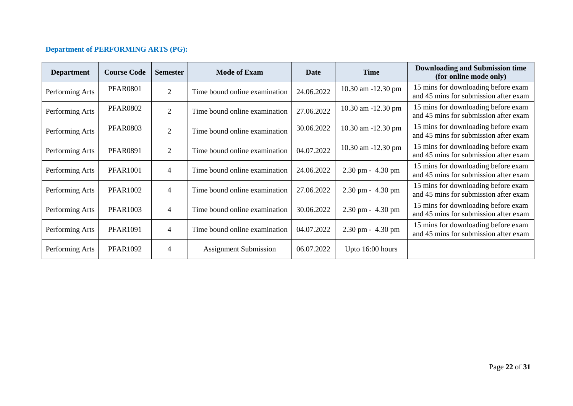# **Department of PERFORMING ARTS (PG):**

| <b>Department</b> | <b>Course Code</b> | <b>Semester</b> | <b>Mode of Exam</b>           | Date       | <b>Time</b>                         | <b>Downloading and Submission time</b><br>(for online mode only)             |
|-------------------|--------------------|-----------------|-------------------------------|------------|-------------------------------------|------------------------------------------------------------------------------|
| Performing Arts   | <b>PFAR0801</b>    | $\overline{2}$  | Time bound online examination | 24.06.2022 | 10.30 am -12.30 pm                  | 15 mins for downloading before exam<br>and 45 mins for submission after exam |
| Performing Arts   | <b>PFAR0802</b>    | $\overline{2}$  | Time bound online examination | 27.06.2022 | 10.30 am -12.30 pm                  | 15 mins for downloading before exam<br>and 45 mins for submission after exam |
| Performing Arts   | <b>PFAR0803</b>    | $\overline{2}$  | Time bound online examination | 30.06.2022 | 10.30 am -12.30 pm                  | 15 mins for downloading before exam<br>and 45 mins for submission after exam |
| Performing Arts   | <b>PFAR0891</b>    | $\overline{2}$  | Time bound online examination | 04.07.2022 | 10.30 am -12.30 pm                  | 15 mins for downloading before exam<br>and 45 mins for submission after exam |
| Performing Arts   | <b>PFAR1001</b>    | $\overline{4}$  | Time bound online examination | 24.06.2022 | $2.30 \text{ pm} - 4.30 \text{ pm}$ | 15 mins for downloading before exam<br>and 45 mins for submission after exam |
| Performing Arts   | <b>PFAR1002</b>    | $\overline{4}$  | Time bound online examination | 27.06.2022 | 2.30 pm - 4.30 pm                   | 15 mins for downloading before exam<br>and 45 mins for submission after exam |
| Performing Arts   | <b>PFAR1003</b>    | $\overline{4}$  | Time bound online examination | 30.06.2022 | 2.30 pm - 4.30 pm                   | 15 mins for downloading before exam<br>and 45 mins for submission after exam |
| Performing Arts   | <b>PFAR1091</b>    | $\overline{4}$  | Time bound online examination | 04.07.2022 | $2.30 \text{ pm} - 4.30 \text{ pm}$ | 15 mins for downloading before exam<br>and 45 mins for submission after exam |
| Performing Arts   | <b>PFAR1092</b>    | 4               | <b>Assignment Submission</b>  | 06.07.2022 | Upto 16:00 hours                    |                                                                              |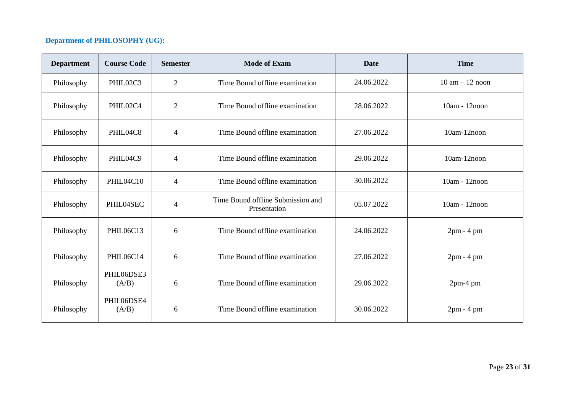# **Department of PHILOSOPHY (UG):**

| <b>Department</b> | <b>Course Code</b>  | <b>Semester</b> | <b>Mode of Exam</b>                               | <b>Date</b> | <b>Time</b>                       |
|-------------------|---------------------|-----------------|---------------------------------------------------|-------------|-----------------------------------|
| Philosophy        | PHIL02C3            | $\overline{2}$  | Time Bound offline examination                    | 24.06.2022  | $10 \text{ am} - 12 \text{ noon}$ |
| Philosophy        | PHIL02C4            | $\overline{2}$  | Time Bound offline examination                    | 28.06.2022  | 10am - 12noon                     |
| Philosophy        | PHIL04C8            | 4               | Time Bound offline examination                    | 27.06.2022  |                                   |
| Philosophy        | PHIL04C9            | 4               | Time Bound offline examination                    | 29.06.2022  |                                   |
| Philosophy        | PHIL04C10           | 4               | Time Bound offline examination                    | 30.06.2022  | 10am - 12noon                     |
| Philosophy        | PHIL04SEC           | $\overline{4}$  | Time Bound offline Submission and<br>Presentation | 05.07.2022  | 10am - 12noon                     |
| Philosophy        | <b>PHIL06C13</b>    | 6               | Time Bound offline examination                    | 24.06.2022  | $2pm - 4pm$                       |
| Philosophy        | PHIL06C14           | 6               | Time Bound offline examination                    | 27.06.2022  | $2pm - 4pm$                       |
| Philosophy        | PHIL06DSE3<br>(A/B) | 6               | Time Bound offline examination                    | 29.06.2022  | $2pm-4$ pm                        |
| Philosophy        | PHIL06DSE4<br>(A/B) | 6               | Time Bound offline examination                    | 30.06.2022  | $2pm - 4pm$                       |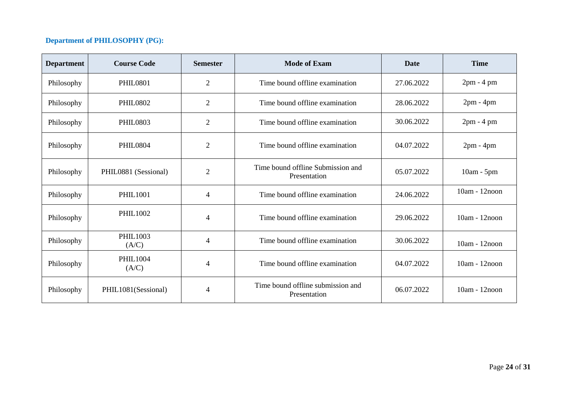# **Department of PHILOSOPHY (PG):**

| <b>Department</b> | <b>Course Code</b>       | <b>Semester</b> | <b>Mode of Exam</b>                               | <b>Date</b> | <b>Time</b>      |
|-------------------|--------------------------|-----------------|---------------------------------------------------|-------------|------------------|
| Philosophy        | <b>PHIL0801</b>          | $\mathbf{2}$    | Time bound offline examination                    | 27.06.2022  | $2pm - 4pm$      |
| Philosophy        | <b>PHIL0802</b>          | $\overline{2}$  | Time bound offline examination                    | 28.06.2022  | $2pm - 4pm$      |
| Philosophy        | <b>PHIL0803</b>          | $\overline{2}$  | Time bound offline examination                    | 30.06.2022  | $2pm - 4pm$      |
| Philosophy        | <b>PHIL0804</b>          | $\mathbf{2}$    | Time bound offline examination                    | 04.07.2022  | $2pm - 4pm$      |
| Philosophy        | PHIL0881 (Sessional)     | $\overline{2}$  | Time bound offline Submission and<br>Presentation | 05.07.2022  | $10am - 5pm$     |
| Philosophy        | <b>PHIL1001</b>          | $\overline{4}$  | Time bound offline examination                    | 24.06.2022  | 10am - 12noon    |
| Philosophy        | <b>PHIL1002</b>          | 4               | Time bound offline examination                    | 29.06.2022  | $10am - 12n$ oon |
| Philosophy        | <b>PHIL1003</b><br>(A/C) | 4               | Time bound offline examination                    | 30.06.2022  | 10am - 12noon    |
| Philosophy        | <b>PHIL1004</b><br>(A/C) | 4               | Time bound offline examination                    | 04.07.2022  | 10am - 12noon    |
| Philosophy        | PHIL1081(Sessional)      | 4               | Time bound offline submission and<br>Presentation | 06.07.2022  | 10am - 12noon    |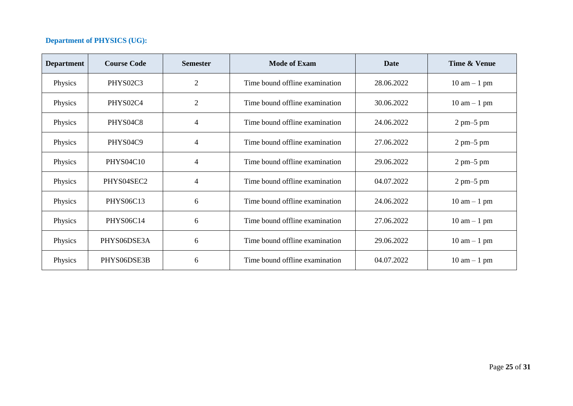# **Department of PHYSICS (UG):**

| <b>Department</b> | <b>Course Code</b> | <b>Semester</b> | <b>Mode of Exam</b>            | Date       | Time & Venue                   |
|-------------------|--------------------|-----------------|--------------------------------|------------|--------------------------------|
| Physics           | PHYS02C3           | $\overline{2}$  | Time bound offline examination | 28.06.2022 | $10 \text{ am} - 1 \text{ pm}$ |
| Physics           | PHYS02C4           | $\overline{2}$  | Time bound offline examination | 30.06.2022 | $10 \text{ am} - 1 \text{ pm}$ |
| Physics           | PHYS04C8           | 4               | Time bound offline examination | 24.06.2022 | $2 \text{ pm}-5 \text{ pm}$    |
| Physics           | PHYS04C9           | $\overline{4}$  | Time bound offline examination | 27.06.2022 | $2 \text{ pm}-5 \text{ pm}$    |
| Physics           | PHYS04C10          | 4               | Time bound offline examination | 29.06.2022 | $2 \text{ pm}-5 \text{ pm}$    |
| Physics           | PHYS04SEC2         | 4               | Time bound offline examination | 04.07.2022 | $2 \text{ pm}-5 \text{ pm}$    |
| Physics           | <b>PHYS06C13</b>   | 6               | Time bound offline examination | 24.06.2022 | $10 \text{ am} - 1 \text{ pm}$ |
| Physics           | <b>PHYS06C14</b>   | 6               | Time bound offline examination | 27.06.2022 | $10 \text{ am} - 1 \text{ pm}$ |
| Physics           | PHYS06DSE3A        | 6               | Time bound offline examination | 29.06.2022 | $10 \text{ am} - 1 \text{ pm}$ |
| Physics           | PHYS06DSE3B        | 6               | Time bound offline examination | 04.07.2022 | $10 \text{ am} - 1 \text{ pm}$ |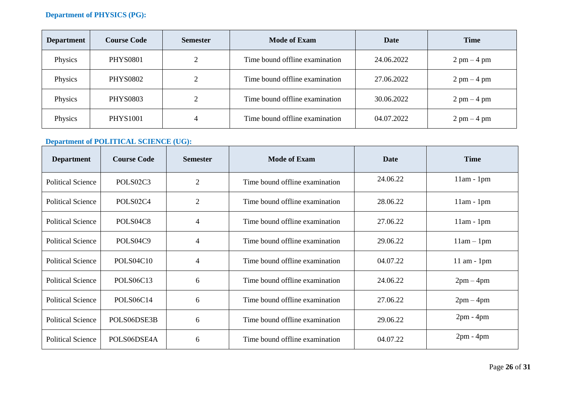# **Department of PHYSICS (PG):**

| <b>Department</b> | <b>Course Code</b> | <b>Semester</b> | <b>Mode of Exam</b>            | Date       | <b>Time</b>    |
|-------------------|--------------------|-----------------|--------------------------------|------------|----------------|
| Physics           | <b>PHYS0801</b>    | ◠<br>∠          | Time bound offline examination | 24.06.2022 | $2$ pm $-4$ pm |
| Physics           | <b>PHYS0802</b>    | ↑               | Time bound offline examination | 27.06.2022 | $2$ pm $-4$ pm |
| Physics           | <b>PHYS0803</b>    |                 | Time bound offline examination | 30.06.2022 | $2$ pm $-4$ pm |
| Physics           | <b>PHYS1001</b>    | 4               | Time bound offline examination | 04.07.2022 | $2$ pm $-4$ pm |

#### **Department of POLITICAL SCIENCE (UG):**

| <b>Department</b>        | <b>Course Code</b> | <b>Semester</b> | <b>Mode of Exam</b>            | Date     | <b>Time</b>     |
|--------------------------|--------------------|-----------------|--------------------------------|----------|-----------------|
| <b>Political Science</b> | POLS02C3           | $\overline{2}$  | Time bound offline examination | 24.06.22 | $11am - 1pm$    |
| <b>Political Science</b> | POLS02C4           | $\overline{2}$  | Time bound offline examination | 28.06.22 | $11am - 1pm$    |
| <b>Political Science</b> | POLS04C8           | $\overline{4}$  | Time bound offline examination | 27.06.22 | $11am - 1pm$    |
| <b>Political Science</b> | POLS04C9           | 4               | Time bound offline examination | 29.06.22 | $11am - 1pm$    |
| <b>Political Science</b> | POLS04C10          | 4               | Time bound offline examination | 04.07.22 | $11$ am $-1$ pm |
| <b>Political Science</b> | POLS06C13          | 6               | Time bound offline examination | 24.06.22 | $2pm-4pm$       |
| <b>Political Science</b> | POLS06C14          | 6               | Time bound offline examination | 27.06.22 | $2pm-4pm$       |
| <b>Political Science</b> | POLS06DSE3B        | 6               | Time bound offline examination | 29.06.22 | $2pm - 4pm$     |
| <b>Political Science</b> | POLS06DSE4A        | 6               | Time bound offline examination | 04.07.22 | $2pm - 4pm$     |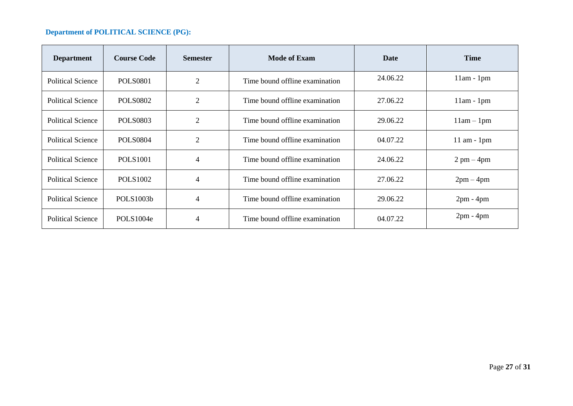#### **Department of POLITICAL SCIENCE (PG):**

| <b>Department</b>        | <b>Course Code</b> | <b>Semester</b> | <b>Mode of Exam</b>            | <b>Date</b> | <b>Time</b>                  |
|--------------------------|--------------------|-----------------|--------------------------------|-------------|------------------------------|
| <b>Political Science</b> | <b>POLS0801</b>    | $\overline{2}$  | Time bound offline examination | 24.06.22    | $11am - 1pm$                 |
| <b>Political Science</b> | POLS0802           | $\overline{2}$  | Time bound offline examination | 27.06.22    | $11am - 1pm$                 |
| <b>Political Science</b> | <b>POLS0803</b>    | $\overline{2}$  | Time bound offline examination | 29.06.22    | $11am - 1pm$                 |
| <b>Political Science</b> | <b>POLS0804</b>    | $\overline{2}$  | Time bound offline examination | 04.07.22    | $11$ am $-1$ pm              |
| <b>Political Science</b> | <b>POLS1001</b>    | 4               | Time bound offline examination | 24.06.22    | $2 \text{ pm} - 4 \text{pm}$ |
| <b>Political Science</b> | POLS1002           | 4               | Time bound offline examination | 27.06.22    | $2pm-4pm$                    |
| <b>Political Science</b> | <b>POLS1003b</b>   | 4               | Time bound offline examination | 29.06.22    | $2pm - 4pm$                  |
| <b>Political Science</b> | POLS1004e          | 4               | Time bound offline examination | 04.07.22    | $2pm - 4pm$                  |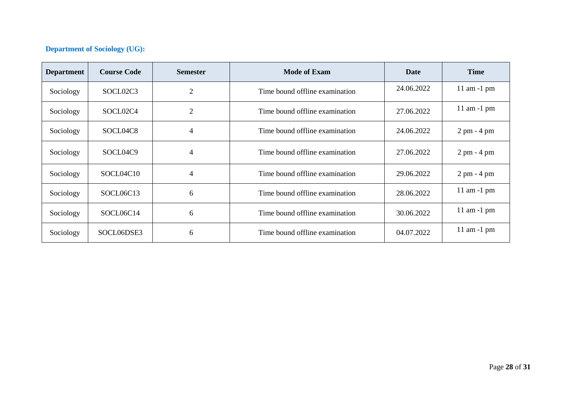# **Department of Sociology (UG):**

| <b>Department</b> | <b>Course Code</b> | <b>Semester</b> | <b>Mode of Exam</b>            | Date       | <b>Time</b>                   |
|-------------------|--------------------|-----------------|--------------------------------|------------|-------------------------------|
| Sociology         | SOCL02C3           | $\overline{2}$  | Time bound offline examination | 24.06.2022 | $11$ am $-1$ pm               |
| Sociology         | SOCL02C4           | $\overline{2}$  | Time bound offline examination | 27.06.2022 | $11$ am $-1$ pm               |
| Sociology         | SOCL04C8           | 4               | Time bound offline examination | 24.06.2022 | $2 \text{ pm} - 4 \text{ pm}$ |
| Sociology         | SOCL04C9           | 4               | Time bound offline examination | 27.06.2022 | $2 \text{ pm} - 4 \text{ pm}$ |
| Sociology         | SOCL04C10          | 4               | Time bound offline examination | 29.06.2022 | $2 \text{ pm} - 4 \text{ pm}$ |
| Sociology         | SOCL06C13          | 6               | Time bound offline examination | 28.06.2022 | $11$ am $-1$ pm               |
| Sociology         | SOCL06C14          | 6               | Time bound offline examination | 30.06.2022 | $11$ am $-1$ pm               |
| Sociology         | SOCL06DSE3         | 6               | Time bound offline examination | 04.07.2022 | $11$ am $-1$ pm               |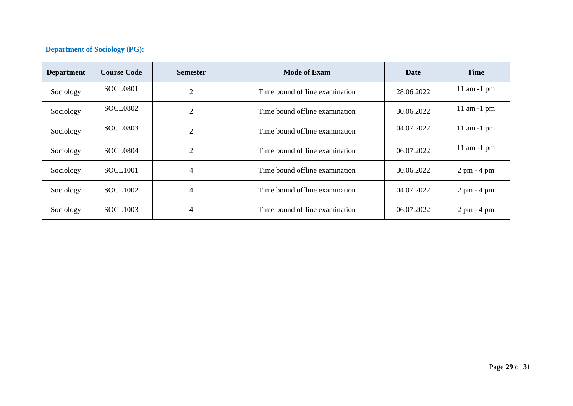# **Department of Sociology (PG):**

| <b>Department</b> | <b>Course Code</b>   | <b>Semester</b> | <b>Mode of Exam</b>            | Date       | <b>Time</b>                   |
|-------------------|----------------------|-----------------|--------------------------------|------------|-------------------------------|
| Sociology         | SOCL0801             | $\overline{2}$  | Time bound offline examination | 28.06.2022 | $11$ am $-1$ pm               |
| Sociology         | <b>SOCL0802</b>      | $\overline{2}$  | Time bound offline examination | 30.06.2022 | $11$ am $-1$ pm               |
| Sociology         | SOCL0803             | $\overline{2}$  | Time bound offline examination | 04.07.2022 | $11$ am $-1$ pm               |
| Sociology         | SOCL0804             | $\overline{2}$  | Time bound offline examination | 06.07.2022 | $11$ am $-1$ pm               |
| Sociology         | SOCL <sub>1001</sub> | 4               | Time bound offline examination | 30.06.2022 | $2 \text{ pm} - 4 \text{ pm}$ |
| Sociology         | SOCL <sub>1002</sub> | 4               | Time bound offline examination | 04.07.2022 | $2 \text{ pm} - 4 \text{ pm}$ |
| Sociology         | SOCL <sub>1003</sub> | 4               | Time bound offline examination | 06.07.2022 | $2 \text{ pm} - 4 \text{ pm}$ |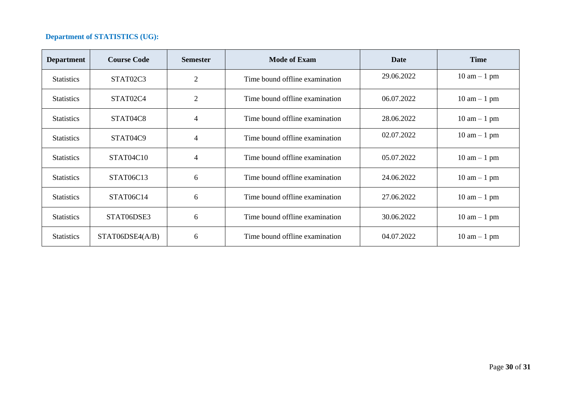#### **Department of STATISTICS (UG):**

| <b>Department</b> | <b>Course Code</b> | <b>Semester</b> | <b>Mode of Exam</b>            | Date       | <b>Time</b>                    |
|-------------------|--------------------|-----------------|--------------------------------|------------|--------------------------------|
| <b>Statistics</b> | STAT02C3           | $\overline{2}$  | Time bound offline examination | 29.06.2022 | $10 \text{ am} - 1 \text{ pm}$ |
| <b>Statistics</b> | STAT02C4           | $\overline{2}$  | Time bound offline examination | 06.07.2022 | $10 \text{ am} - 1 \text{ pm}$ |
| <b>Statistics</b> | STAT04C8           | $\overline{4}$  | Time bound offline examination | 28.06.2022 | $10 \text{ am} - 1 \text{ pm}$ |
| <b>Statistics</b> | STAT04C9           | 4               | Time bound offline examination | 02.07.2022 | $10 \text{ am} - 1 \text{ pm}$ |
| <b>Statistics</b> | STAT04C10          | 4               | Time bound offline examination | 05.07.2022 | $10 \text{ am} - 1 \text{ pm}$ |
| <b>Statistics</b> | <b>STAT06C13</b>   | 6               | Time bound offline examination | 24.06.2022 | $10 \text{ am} - 1 \text{ pm}$ |
| <b>Statistics</b> | STAT06C14          | 6               | Time bound offline examination | 27.06.2022 | $10 \text{ am} - 1 \text{ pm}$ |
| <b>Statistics</b> | STAT06DSE3         | 6               | Time bound offline examination | 30.06.2022 | $10 \text{ am} - 1 \text{ pm}$ |
| <b>Statistics</b> | STAT06DSE4(A/B)    | 6               | Time bound offline examination | 04.07.2022 | $10 \text{ am} - 1 \text{ pm}$ |